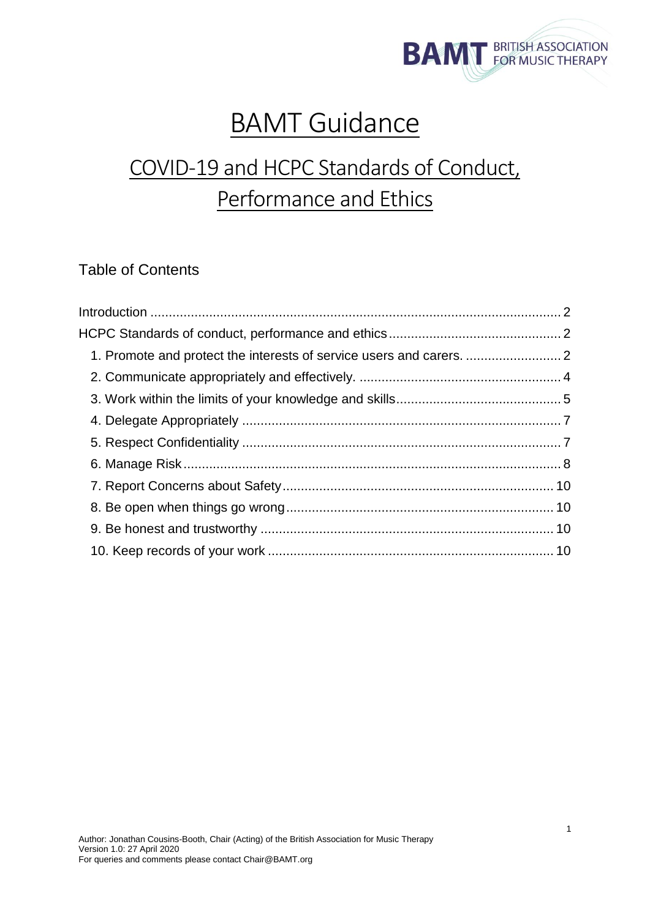

# BAMT Guidance

# COVID-19 and HCPC Standards of Conduct, Performance and Ethics

# Table of Contents

<span id="page-0-0"></span>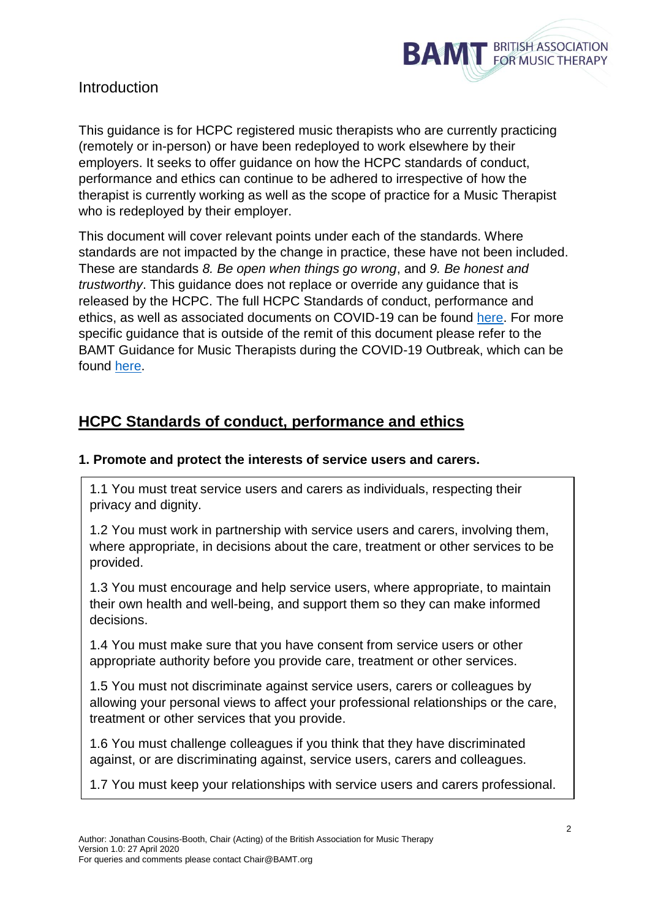

# **Introduction**

This guidance is for HCPC registered music therapists who are currently practicing (remotely or in-person) or have been redeployed to work elsewhere by their employers. It seeks to offer guidance on how the HCPC standards of conduct, performance and ethics can continue to be adhered to irrespective of how the therapist is currently working as well as the scope of practice for a Music Therapist who is redeployed by their employer.

This document will cover relevant points under each of the standards. Where standards are not impacted by the change in practice, these have not been included. These are standards *8. Be open when things go wrong*, and *9. Be honest and trustworthy*. This guidance does not replace or override any guidance that is released by the HCPC. The full HCPC Standards of conduct, performance and ethics, as well as associated documents on COVID-19 can be found [here.](https://www.hcpc-uk.org/standards/standards-of-conduct-performance-and-ethics/) For more specific guidance that is outside of the remit of this document please refer to the BAMT Guidance for Music Therapists during the COVID-19 Outbreak, which can be found [here.](file:///C:/Users/Jonathan.Booth/Downloads/BAMT%20Guidance%20for%20Music%20Therapists%20during%20COVID-19%20outbreak%20(9%20Apr%202020).pdf)

# <span id="page-1-1"></span><span id="page-1-0"></span>**HCPC Standards of conduct, performance and ethics**

#### **1. Promote and protect the interests of service users and carers.**

1.1 You must treat service users and carers as individuals, respecting their privacy and dignity.

1.2 You must work in partnership with service users and carers, involving them, where appropriate, in decisions about the care, treatment or other services to be provided.

1.3 You must encourage and help service users, where appropriate, to maintain their own health and well-being, and support them so they can make informed decisions.

1.4 You must make sure that you have consent from service users or other appropriate authority before you provide care, treatment or other services.

1.5 You must not discriminate against service users, carers or colleagues by allowing your personal views to affect your professional relationships or the care, treatment or other services that you provide.

1.6 You must challenge colleagues if you think that they have discriminated against, or are discriminating against, service users, carers and colleagues.

1.7 You must keep your relationships with service users and carers professional.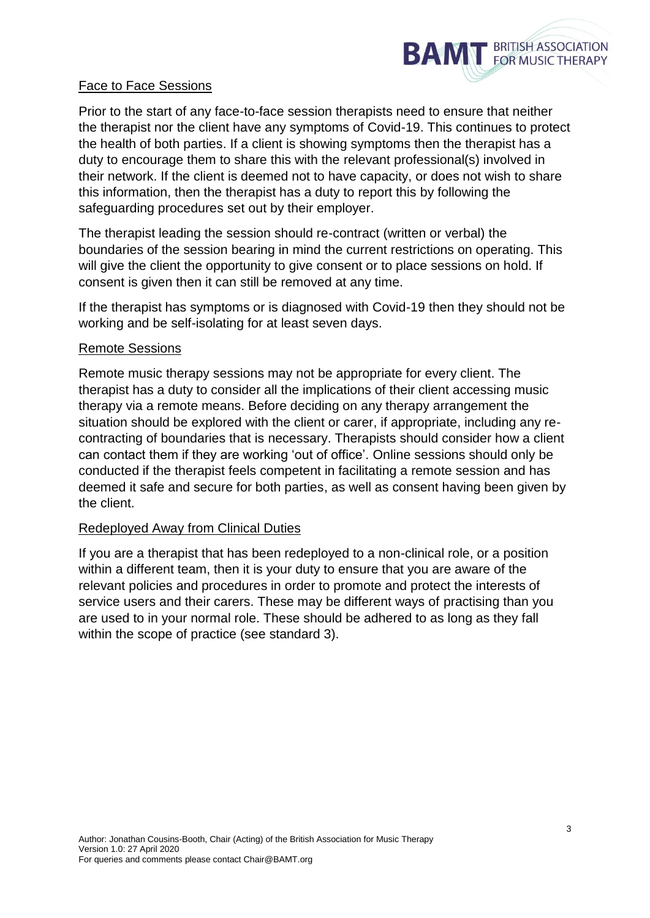

#### Face to Face Sessions

Prior to the start of any face-to-face session therapists need to ensure that neither the therapist nor the client have any symptoms of Covid-19. This continues to protect the health of both parties. If a client is showing symptoms then the therapist has a duty to encourage them to share this with the relevant professional(s) involved in their network. If the client is deemed not to have capacity, or does not wish to share this information, then the therapist has a duty to report this by following the safeguarding procedures set out by their employer.

The therapist leading the session should re-contract (written or verbal) the boundaries of the session bearing in mind the current restrictions on operating. This will give the client the opportunity to give consent or to place sessions on hold. If consent is given then it can still be removed at any time.

If the therapist has symptoms or is diagnosed with Covid-19 then they should not be working and be self-isolating for at least seven days.

#### Remote Sessions

Remote music therapy sessions may not be appropriate for every client. The therapist has a duty to consider all the implications of their client accessing music therapy via a remote means. Before deciding on any therapy arrangement the situation should be explored with the client or carer, if appropriate, including any recontracting of boundaries that is necessary. Therapists should consider how a client can contact them if they are working 'out of office'. Online sessions should only be conducted if the therapist feels competent in facilitating a remote session and has deemed it safe and secure for both parties, as well as consent having been given by the client.

#### Redeployed Away from Clinical Duties

If you are a therapist that has been redeployed to a non-clinical role, or a position within a different team, then it is your duty to ensure that you are aware of the relevant policies and procedures in order to promote and protect the interests of service users and their carers. These may be different ways of practising than you are used to in your normal role. These should be adhered to as long as they fall within the scope of practice (see standard 3).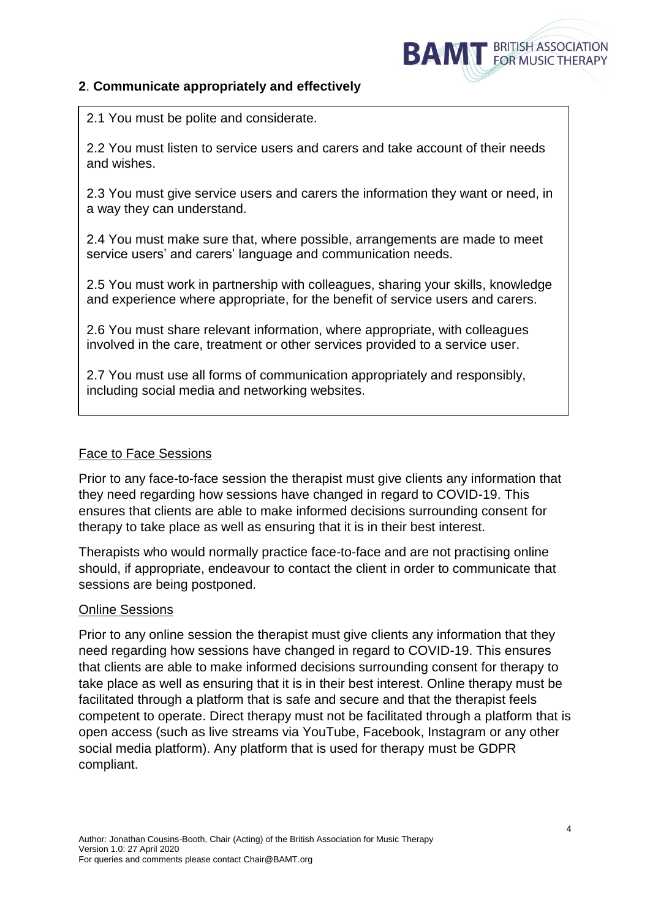

#### <span id="page-3-0"></span>**2**. **Communicate appropriately and effectively**

2.1 You must be polite and considerate.

2.2 You must listen to service users and carers and take account of their needs and wishes.

2.3 You must give service users and carers the information they want or need, in a way they can understand.

2.4 You must make sure that, where possible, arrangements are made to meet service users' and carers' language and communication needs.

2.5 You must work in partnership with colleagues, sharing your skills, knowledge and experience where appropriate, for the benefit of service users and carers.

2.6 You must share relevant information, where appropriate, with colleagues involved in the care, treatment or other services provided to a service user.

2.7 You must use all forms of communication appropriately and responsibly, including social media and networking websites.

## Face to Face Sessions

Prior to any face-to-face session the therapist must give clients any information that they need regarding how sessions have changed in regard to COVID-19. This ensures that clients are able to make informed decisions surrounding consent for therapy to take place as well as ensuring that it is in their best interest.

Therapists who would normally practice face-to-face and are not practising online should, if appropriate, endeavour to contact the client in order to communicate that sessions are being postponed.

#### Online Sessions

Prior to any online session the therapist must give clients any information that they need regarding how sessions have changed in regard to COVID-19. This ensures that clients are able to make informed decisions surrounding consent for therapy to take place as well as ensuring that it is in their best interest. Online therapy must be facilitated through a platform that is safe and secure and that the therapist feels competent to operate. Direct therapy must not be facilitated through a platform that is open access (such as live streams via YouTube, Facebook, Instagram or any other social media platform). Any platform that is used for therapy must be GDPR compliant.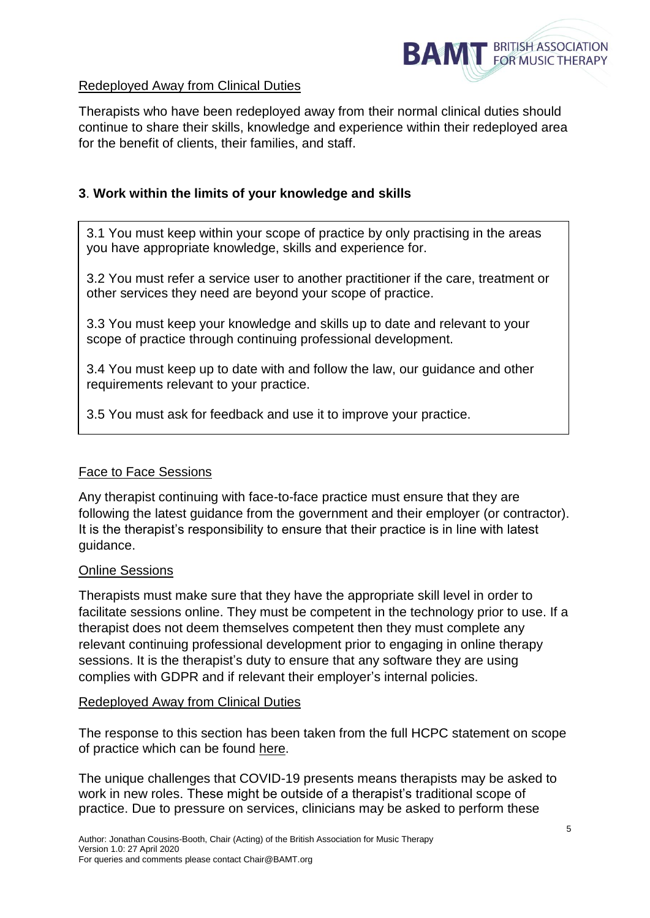

#### Redeployed Away from Clinical Duties

Therapists who have been redeployed away from their normal clinical duties should continue to share their skills, knowledge and experience within their redeployed area for the benefit of clients, their families, and staff.

## <span id="page-4-0"></span>**3**. **Work within the limits of your knowledge and skills**

3.1 You must keep within your scope of practice by only practising in the areas you have appropriate knowledge, skills and experience for.

3.2 You must refer a service user to another practitioner if the care, treatment or other services they need are beyond your scope of practice.

3.3 You must keep your knowledge and skills up to date and relevant to your scope of practice through continuing professional development.

3.4 You must keep up to date with and follow the law, our guidance and other requirements relevant to your practice.

3.5 You must ask for feedback and use it to improve your practice.

#### Face to Face Sessions

Any therapist continuing with face-to-face practice must ensure that they are following the latest guidance from the government and their employer (or contractor). It is the therapist's responsibility to ensure that their practice is in line with latest guidance.

#### Online Sessions

Therapists must make sure that they have the appropriate skill level in order to facilitate sessions online. They must be competent in the technology prior to use. If a therapist does not deem themselves competent then they must complete any relevant continuing professional development prior to engaging in online therapy sessions. It is the therapist's duty to ensure that any software they are using complies with GDPR and if relevant their employer's internal policies.

#### Redeployed Away from Clinical Duties

The response to this section has been taken from the full HCPC statement on scope of practice which can be found [here.](https://www.hcpc-uk.org/covid-19/advice/applying-our-standards/scope-of-practice/)

The unique challenges that COVID-19 presents means therapists may be asked to work in new roles. These might be outside of a therapist's traditional scope of practice. Due to pressure on services, clinicians may be asked to perform these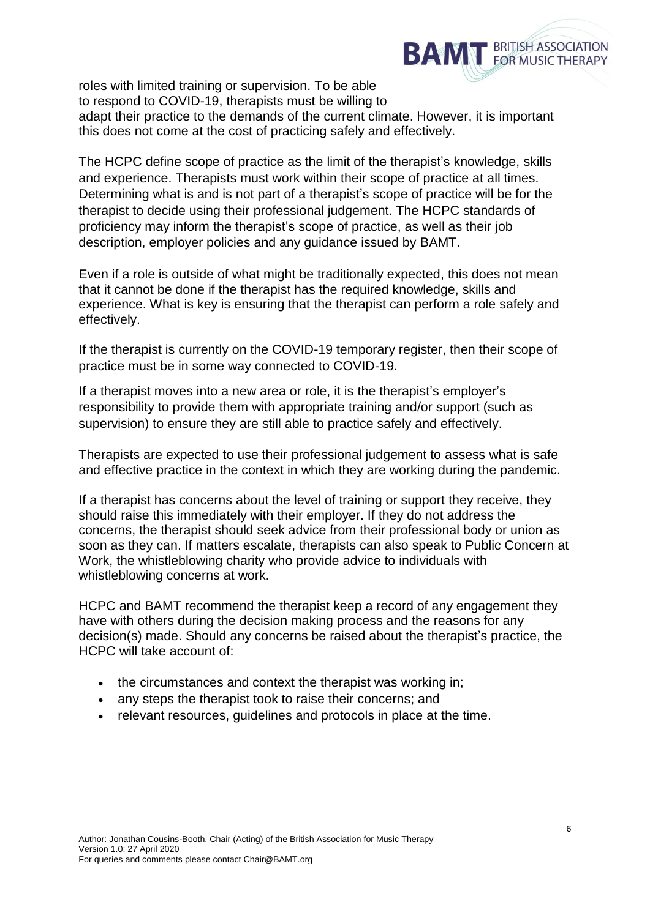

roles with limited training or supervision. To be able to respond to COVID-19, therapists must be willing to

adapt their practice to the demands of the current climate. However, it is important this does not come at the cost of practicing safely and effectively.

The HCPC define scope of practice as the limit of the therapist's knowledge, skills and experience. Therapists must work within their scope of practice at all times. Determining what is and is not part of a therapist's scope of practice will be for the therapist to decide using their professional judgement. The HCPC standards of proficiency may inform the therapist's scope of practice, as well as their job description, employer policies and any guidance issued by BAMT.

Even if a role is outside of what might be traditionally expected, this does not mean that it cannot be done if the therapist has the required knowledge, skills and experience. What is key is ensuring that the therapist can perform a role safely and effectively.

If the therapist is currently on the COVID-19 temporary register, then their scope of practice must be in some way connected to COVID-19.

If a therapist moves into a new area or role, it is the therapist's employer's responsibility to provide them with appropriate training and/or support (such as supervision) to ensure they are still able to practice safely and effectively.

Therapists are expected to use their professional judgement to assess what is safe and effective practice in the context in which they are working during the pandemic.

If a therapist has concerns about the level of training or support they receive, they should raise this immediately with their employer. If they do not address the concerns, the therapist should seek advice from their professional body or union as soon as they can. If matters escalate, therapists can also speak to Public Concern at Work, the whistleblowing charity who provide advice to individuals with whistleblowing concerns at work.

HCPC and BAMT recommend the therapist keep a record of any engagement they have with others during the decision making process and the reasons for any decision(s) made. Should any concerns be raised about the therapist's practice, the HCPC will take account of:

- the circumstances and context the therapist was working in;
- any steps the therapist took to raise their concerns; and
- relevant resources, guidelines and protocols in place at the time.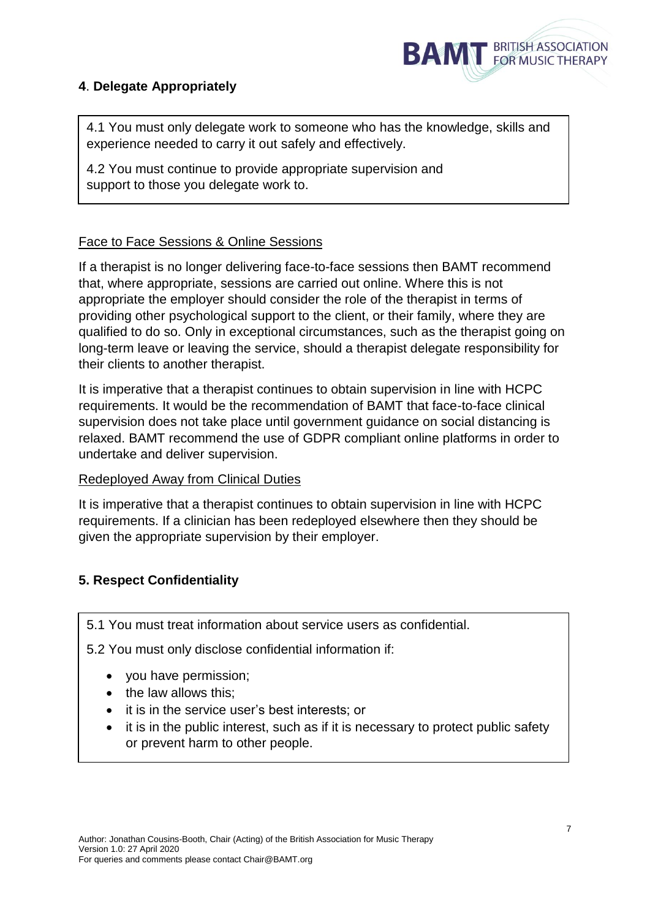

# <span id="page-6-0"></span>**4**. **Delegate Appropriately**

4.1 You must only delegate work to someone who has the knowledge, skills and experience needed to carry it out safely and effectively.

4.2 You must continue to provide appropriate supervision and support to those you delegate work to.

## Face to Face Sessions & Online Sessions

If a therapist is no longer delivering face-to-face sessions then BAMT recommend that, where appropriate, sessions are carried out online. Where this is not appropriate the employer should consider the role of the therapist in terms of providing other psychological support to the client, or their family, where they are qualified to do so. Only in exceptional circumstances, such as the therapist going on long-term leave or leaving the service, should a therapist delegate responsibility for their clients to another therapist.

It is imperative that a therapist continues to obtain supervision in line with HCPC requirements. It would be the recommendation of BAMT that face-to-face clinical supervision does not take place until government guidance on social distancing is relaxed. BAMT recommend the use of GDPR compliant online platforms in order to undertake and deliver supervision.

#### Redeployed Away from Clinical Duties

<span id="page-6-1"></span>It is imperative that a therapist continues to obtain supervision in line with HCPC requirements. If a clinician has been redeployed elsewhere then they should be given the appropriate supervision by their employer.

#### **5. Respect Confidentiality**

5.1 You must treat information about service users as confidential.

5.2 You must only disclose confidential information if:

- you have permission;
- $\bullet$  the law allows this;
- it is in the service user's best interests; or
- it is in the public interest, such as if it is necessary to protect public safety or prevent harm to other people.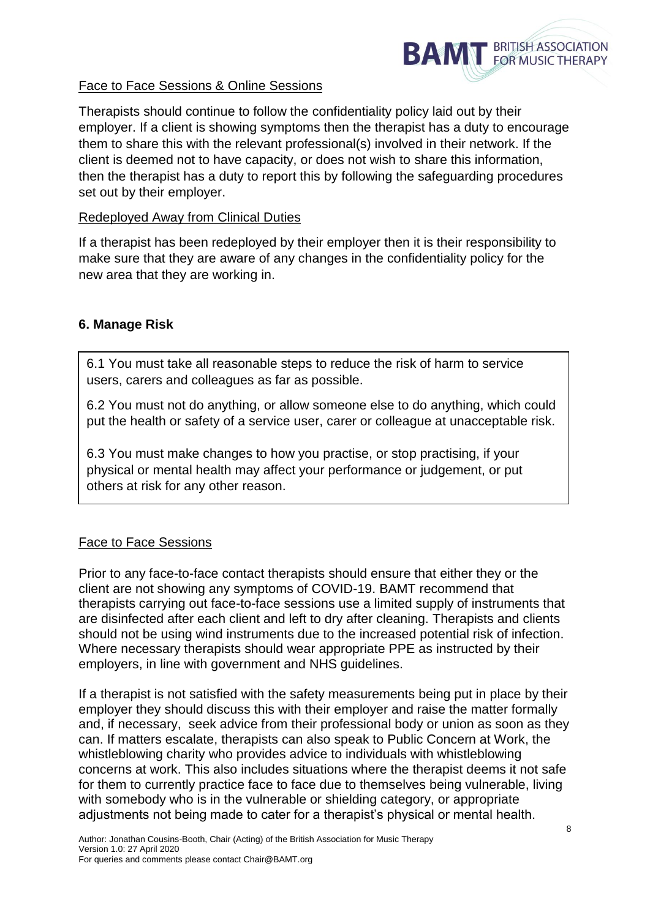

#### Face to Face Sessions & Online Sessions

Therapists should continue to follow the confidentiality policy laid out by their employer. If a client is showing symptoms then the therapist has a duty to encourage them to share this with the relevant professional(s) involved in their network. If the client is deemed not to have capacity, or does not wish to share this information, then the therapist has a duty to report this by following the safeguarding procedures set out by their employer.

#### Redeployed Away from Clinical Duties

If a therapist has been redeployed by their employer then it is their responsibility to make sure that they are aware of any changes in the confidentiality policy for the new area that they are working in.

## <span id="page-7-0"></span>**6. Manage Risk**

6.1 You must take all reasonable steps to reduce the risk of harm to service users, carers and colleagues as far as possible.

6.2 You must not do anything, or allow someone else to do anything, which could put the health or safety of a service user, carer or colleague at unacceptable risk.

6.3 You must make changes to how you practise, or stop practising, if your physical or mental health may affect your performance or judgement, or put others at risk for any other reason.

# Face to Face Sessions

Prior to any face-to-face contact therapists should ensure that either they or the client are not showing any symptoms of COVID-19. BAMT recommend that therapists carrying out face-to-face sessions use a limited supply of instruments that are disinfected after each client and left to dry after cleaning. Therapists and clients should not be using wind instruments due to the increased potential risk of infection. Where necessary therapists should wear appropriate PPE as instructed by their employers, in line with government and NHS guidelines.

If a therapist is not satisfied with the safety measurements being put in place by their employer they should discuss this with their employer and raise the matter formally and, if necessary, seek advice from their professional body or union as soon as they can. If matters escalate, therapists can also speak to Public Concern at Work, the whistleblowing charity who provides advice to individuals with whistleblowing concerns at work. This also includes situations where the therapist deems it not safe for them to currently practice face to face due to themselves being vulnerable, living with somebody who is in the vulnerable or shielding category, or appropriate adjustments not being made to cater for a therapist's physical or mental health.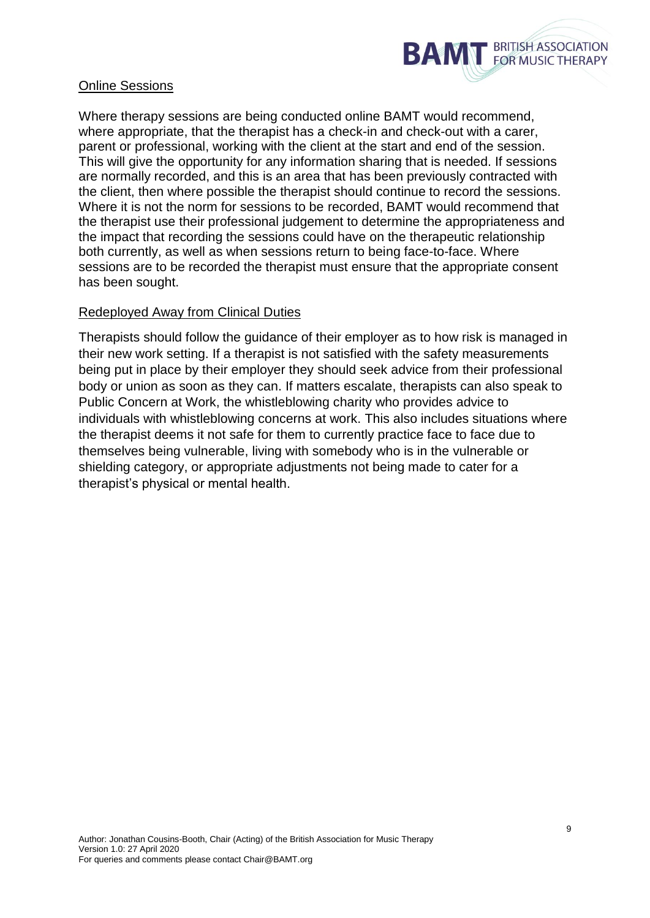

#### Online Sessions

Where therapy sessions are being conducted online BAMT would recommend, where appropriate, that the therapist has a check-in and check-out with a carer, parent or professional, working with the client at the start and end of the session. This will give the opportunity for any information sharing that is needed. If sessions are normally recorded, and this is an area that has been previously contracted with the client, then where possible the therapist should continue to record the sessions. Where it is not the norm for sessions to be recorded, BAMT would recommend that the therapist use their professional judgement to determine the appropriateness and the impact that recording the sessions could have on the therapeutic relationship both currently, as well as when sessions return to being face-to-face. Where sessions are to be recorded the therapist must ensure that the appropriate consent has been sought.

#### Redeployed Away from Clinical Duties

Therapists should follow the guidance of their employer as to how risk is managed in their new work setting. If a therapist is not satisfied with the safety measurements being put in place by their employer they should seek advice from their professional body or union as soon as they can. If matters escalate, therapists can also speak to Public Concern at Work, the whistleblowing charity who provides advice to individuals with whistleblowing concerns at work. This also includes situations where the therapist deems it not safe for them to currently practice face to face due to themselves being vulnerable, living with somebody who is in the vulnerable or shielding category, or appropriate adjustments not being made to cater for a therapist's physical or mental health.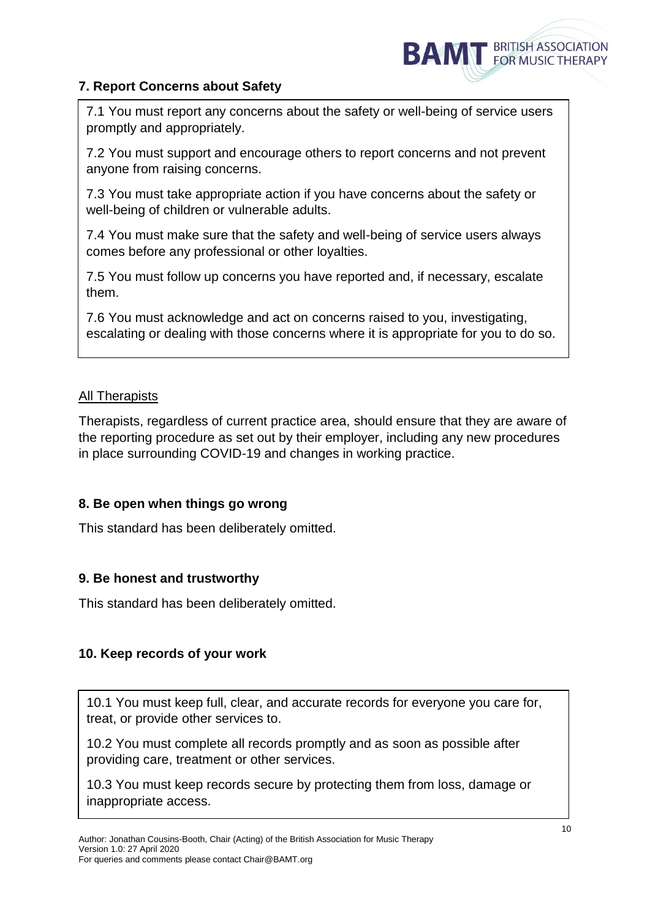

# <span id="page-9-0"></span>**7. Report Concerns about Safety**

7.1 You must report any concerns about the safety or well-being of service users promptly and appropriately.

7.2 You must support and encourage others to report concerns and not prevent anyone from raising concerns.

7.3 You must take appropriate action if you have concerns about the safety or well-being of children or vulnerable adults.

7.4 You must make sure that the safety and well-being of service users always comes before any professional or other loyalties.

7.5 You must follow up concerns you have reported and, if necessary, escalate them.

7.6 You must acknowledge and act on concerns raised to you, investigating, escalating or dealing with those concerns where it is appropriate for you to do so.

## All Therapists

Therapists, regardless of current practice area, should ensure that they are aware of the reporting procedure as set out by their employer, including any new procedures in place surrounding COVID-19 and changes in working practice.

# <span id="page-9-1"></span>**8. Be open when things go wrong**

This standard has been deliberately omitted.

#### <span id="page-9-2"></span>**9. Be honest and trustworthy**

This standard has been deliberately omitted.

#### <span id="page-9-3"></span>**10. Keep records of your work**

10.1 You must keep full, clear, and accurate records for everyone you care for, treat, or provide other services to.

10.2 You must complete all records promptly and as soon as possible after providing care, treatment or other services.

10.3 You must keep records secure by protecting them from loss, damage or inappropriate access.